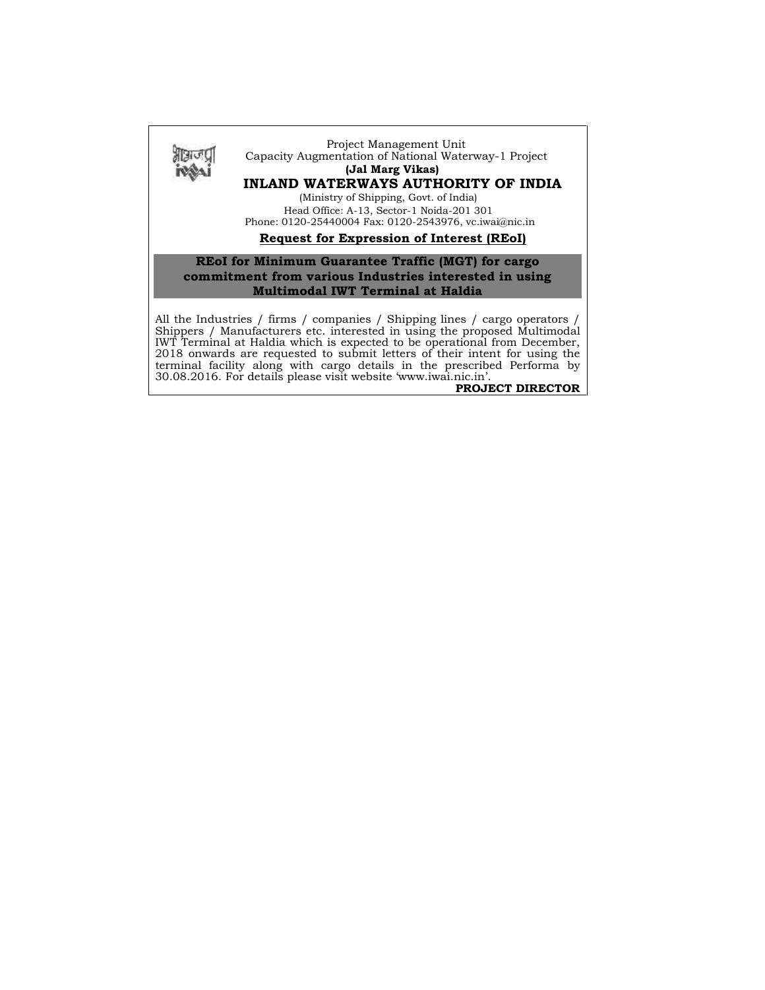